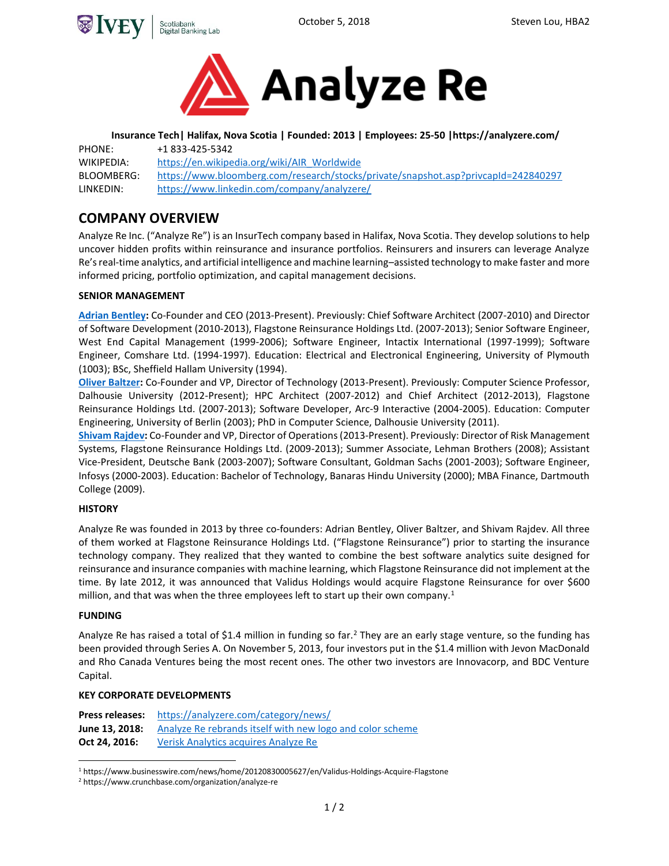



**Insurance Tech| Halifax, Nova Scotia | Founded: 2013 | Employees: 25-50 |https://analyzere.com/** PHONE: +1 833-425-5342 WIKIPEDIA: https://en.wikipedia.org/wiki/AIR\_Worldwide BLOOMBERG: <https://www.bloomberg.com/research/stocks/private/snapshot.asp?privcapId=242840297> LINKEDIN: https://www.linkedin.com/company/analyzere/

# **COMPANY OVERVIEW**

Analyze Re Inc. ("Analyze Re") is an InsurTech company based in Halifax, Nova Scotia. They develop solutions to help uncover hidden profits within reinsurance and insurance portfolios. Reinsurers and insurers can leverage Analyze Re's real-time analytics, and artificial intelligence and machine learning–assisted technology to make faster and more informed pricing, portfolio optimization, and capital management decisions.

### **SENIOR MANAGEMENT**

**[Adrian Bentley:](http://linkedin.com/in/ambentley)** Co-Founder and CEO (2013-Present). Previously: Chief Software Architect (2007-2010) and Director of Software Development (2010-2013), Flagstone Reinsurance Holdings Ltd. (2007-2013); Senior Software Engineer, West End Capital Management (1999-2006); Software Engineer, Intactix International (1997-1999); Software Engineer, Comshare Ltd. (1994-1997). Education: Electrical and Electronical Engineering, University of Plymouth (1003); BSc, Sheffield Hallam University (1994).

**[Oliver Baltzer:](https://ca.linkedin.com/in/obaltzer)** Co-Founder and VP, Director of Technology (2013-Present). Previously: Computer Science Professor, Dalhousie University (2012-Present); HPC Architect (2007-2012) and Chief Architect (2012-2013), Flagstone Reinsurance Holdings Ltd. (2007-2013); Software Developer, Arc-9 Interactive (2004-2005). Education: Computer Engineering, University of Berlin (2003); PhD in Computer Science, Dalhousie University (2011).

**[Shivam Rajdev:](https://ca.linkedin.com/in/shivamrajdev)** Co-Founder and VP, Director of Operations(2013-Present). Previously: Director of Risk Management Systems, Flagstone Reinsurance Holdings Ltd. (2009-2013); Summer Associate, Lehman Brothers (2008); Assistant Vice-President, Deutsche Bank (2003-2007); Software Consultant, Goldman Sachs (2001-2003); Software Engineer, Infosys (2000-2003). Education: Bachelor of Technology, Banaras Hindu University (2000); MBA Finance, Dartmouth College (2009).

### **HISTORY**

Analyze Re was founded in 2013 by three co-founders: Adrian Bentley, Oliver Baltzer, and Shivam Rajdev. All three of them worked at Flagstone Reinsurance Holdings Ltd. ("Flagstone Reinsurance") prior to starting the insurance technology company. They realized that they wanted to combine the best software analytics suite designed for reinsurance and insurance companies with machine learning, which Flagstone Reinsurance did not implement at the time. By late 2012, it was announced that Validus Holdings would acquire Flagstone Reinsurance for over \$600 million, and that was when the three employees left to start up their own company.<sup>1</sup>

### **FUNDING**

Analyze Re has raised a total of \$1.4 million in funding so far.<sup>2</sup> They are an early stage venture, so the funding has been provided through Series A. On November 5, 2013, four investors put in the \$1.4 million with Jevon MacDonald and Rho Canada Ventures being the most recent ones. The other two investors are Innovacorp, and BDC Venture Capital.

### **KEY CORPORATE DEVELOPMENTS**

| Press releases: | https://analyzere.com/category/news/                      |
|-----------------|-----------------------------------------------------------|
| June 13, 2018:  | Analyze Re rebrands itself with new logo and color scheme |
| Oct 24, 2016:   | Verisk Analytics acquires Analyze Re                      |

 $\overline{a}$ <sup>1</sup> https://www.businesswire.com/news/home/20120830005627/en/Validus-Holdings-Acquire-Flagstone

<sup>2</sup> https://www.crunchbase.com/organization/analyze-re